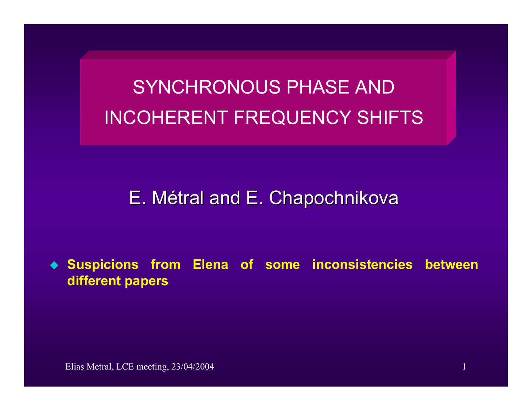SYNCHRONOUS PHASE ANDINCOHERENT FREQUENCY SHIFTS

# E. Métral and E. Chapochnikova

♦ **Suspicions from Elena of some inconsistencies between different papers**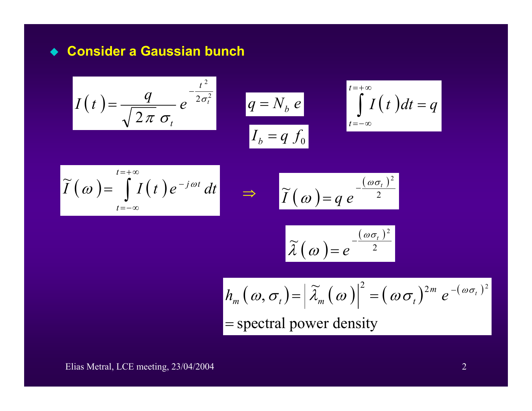### **Consider a Gaussian bunch**

$$
I(t) = \frac{q}{\sqrt{2\pi} \sigma_t} e^{-\frac{t^2}{2\sigma_t^2}} \qquad q = N_b e
$$

$$
q = N_b e
$$
  

$$
I_b = q f_0
$$

$$
\int_{b}^{t=+\infty} \int_{t=-\infty}^{t=+\infty} I(t) dt = q
$$

$$
\widetilde{I}(\omega) = \int_{t=-\infty}^{t=+\infty} I(t) e^{-j\omega t} dt \implies \widetilde{I}(\omega) = q e^{-\frac{(\omega \sigma_t)^2}{2}}
$$

$$
\widetilde{I}(\omega) = q e^{-\frac{(\omega \sigma_t)^2}{2}}
$$

$$
\widetilde{\lambda}(\omega) = e^{-\frac{(\omega \sigma_t)^2}{2}}
$$

$$
h_m(\omega, \sigma_t) = |\widetilde{\lambda}_m(\omega)|^2 = (\omega \sigma_t)^{2m} e^{-(\omega \sigma_t)^2}
$$
  
= spectral power density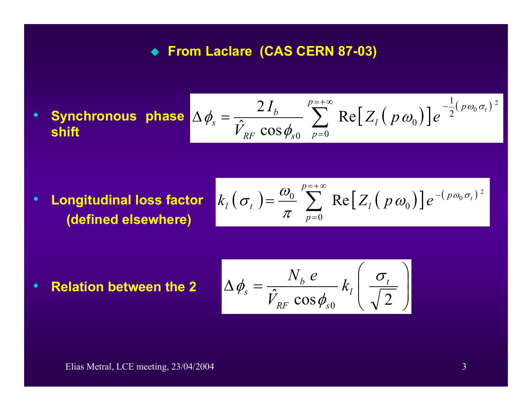## **From Laclare (CAS CERN 87-03)**

 $\sum_{l} e^{-\frac{1}{2}(\rho \omega_0 \sigma_t)}$ = $\Delta \phi = \frac{2I_b}{\Delta} \sum \text{Re}[Z_i(p\omega_0)]e^{-\Delta t}$ *p p p l*  $RF$   $\cup$   $\cup$   $\varphi$ <sub>s</sub> *b s t**Z**y**P**Z**p***<sub>***s***</sub>**  $\phi_s = \frac{2I_b}{\hat{V}_{RF} \cos \phi_{s0}} \sum_{p=0}^{p=+\infty} \text{Re}\big[Z_l\big(p\,\omega_0\big)\big] e^{-\frac{1}{2}(p\,\omega_0\,\sigma_t)^2}$ 

 $\bullet$  **Longitudinal loss factor (defined elsewhere)**

$$
k_l(\sigma_t) = \frac{\omega_0}{\pi} \sum_{p=0}^{p=+\infty} \text{Re}[Z_l(p \omega_0)] e^{-(p \omega_0 \sigma_t)^2}
$$

• Relation between the 2 
$$
\Delta \phi_s = \frac{N_b e}{\hat{V}_{RF} \cos \phi_{s0}} k_l \left(\frac{\sigma_t}{\sqrt{2}}\right)
$$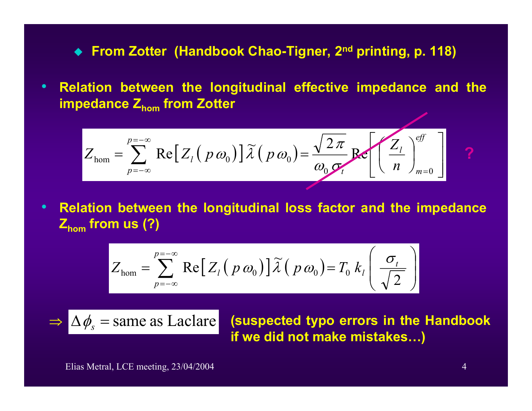**From Zotter (Handbook Chao-Tigner, 2nd printing, p. 118)**

• **Relation between the longitudinal effective impedance and the impedance Zhom from Zotter**

$$
Z_{\text{hom}} = \sum_{p=-\infty}^{p=-\infty} \text{Re}\big[Z_l(p\omega_0)\big]\widetilde{\lambda}\big(p\omega_0\big) = \frac{\sqrt{2\pi}}{\omega_0 \sigma_t} \text{Re}\bigg[\bigg(\frac{Z_l}{n}\bigg)_{m=0}^{eff}\bigg]
$$

 $\bullet$  **Relation between the longitudinal loss factor and the impedance Zhom from us (?)**

$$
Z_{\text{hom}} = \sum_{p=-\infty}^{p=-\infty} \text{Re}\big[Z_l(p \omega_0)\big]\widetilde{\lambda}(p \omega_0) = T_0 k_l\left(\frac{\sigma_t}{\sqrt{2}}\right)
$$

$$
\Rightarrow \Delta \phi_s = \text{same as} \text{ Laclare}
$$

 **(suspected typo errors in the Handbook if we did not make mistakes…)**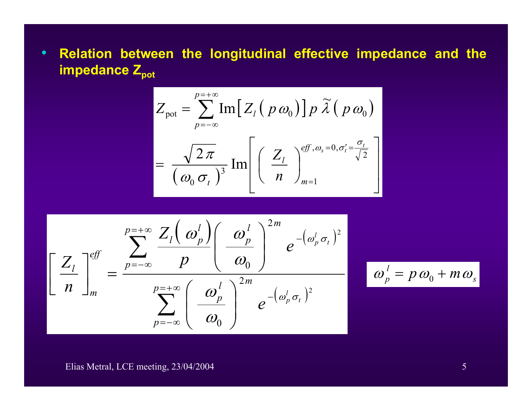• **Relation between the longitudinal effective impedance and the impedance** Z<sub>pot</sub>

$$
Z_{\text{pot}} = \sum_{p=-\infty}^{p=+\infty} \text{Im}\Big[Z_{l} \big( p \omega_{0} \big) \Big] p \widetilde{\lambda} \big( p \omega_{0} \big)
$$

$$
= \frac{\sqrt{2\pi}}{\big( \omega_{0} \sigma_{t} \big)^{3}} \text{Im}\Bigg[ \bigg( \frac{Z_{l}}{n} \bigg)_{m=1}^{eff, \omega_{s} = 0, \sigma_{t}^{\prime} = \frac{\sigma_{t}}{\sqrt{2}} } \Bigg]
$$

$$
\left[\frac{Z_{l}}{n}\right]_{m}^{eff} = \frac{\sum_{p=-\infty}^{p=\infty} \frac{Z_{l}(\omega_{p}^{l})}{p(\omega_{p}^{l})} (\omega_{p}^{l})^{2m}}{\sum_{p=-\infty}^{p=\infty} (\omega_{p}^{l})^{2m} e^{-(\omega_{p}^{l} \sigma_{t})^{2}}
$$

$$
\phi_p^l = p\omega_0 + m\omega_s
$$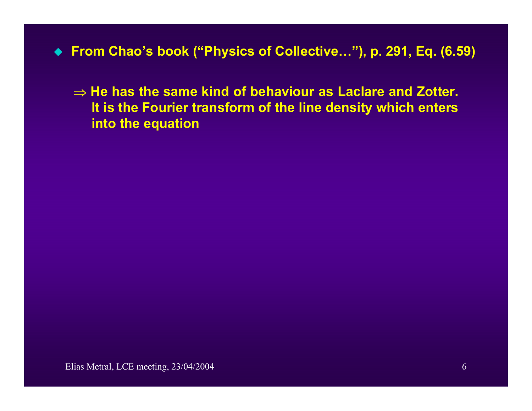- **From Chao's book ("Physics of Collective…"), p. 291, Eq. (6.59)**
	- ⇒ **He has the same kind of behaviour as Laclare and Zotter. It is the Fourier transform of the line density which enters into the equation**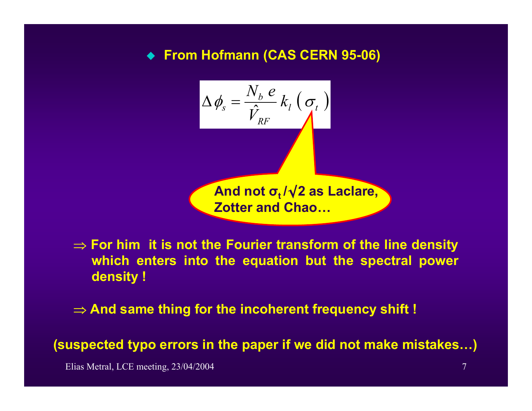# ◆ From Hofmann (CAS CERN 95-06)

$$
\Delta \phi_s = \frac{N_b e}{\hat{V}_{RF}} k_l (\sigma_t)
$$
\nAnd not  $\sigma_t / \sqrt{2}$  as Laclare,  
Zotter and Chao...

⇒ **For him it is not the Fourier transform of the line density which enters into the equation but the spectral power density !** 

⇒ **And same thing for the incoherent frequency shift !**

**(suspected typo errors in the paper if we did not make mistakes…)**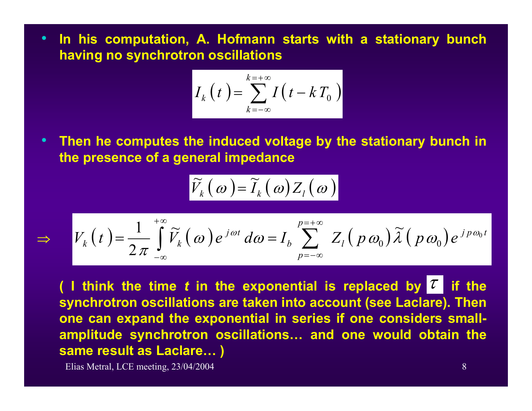• **In his computation, A. Hofmann starts with a stationary bunch having no synchrotron oscillations** 

$$
I_k(t) = \sum_{k=-\infty}^{k=+\infty} I(t - kT_0)
$$

• **Then he computes the induced voltage by the stationary bunch in the presence of a general impedance** 

$$
\left|\widetilde{V}_k(\omega)\right|=\widetilde{I}_k(\omega)Z_l(\omega)
$$

$$
\Rightarrow V_k(t) = \frac{1}{2\pi} \int_{-\infty}^{+\infty} \widetilde{V}_k(\omega) e^{j\omega t} d\omega = I_b \sum_{p=-\infty}^{p=+\infty} Z_l(p\omega_0) \widetilde{\lambda}(p\omega_0) e^{j p\omega_0 t}
$$

**(** I think the time  $t$  in the exponential is replaced by  $\mathcal{T}$  if the **synchrotron oscillations are taken into account (see Laclare). Then one can expand the exponential in series if one considers smallamplitude synchrotron oscillations… and one would obtain the same result as Laclare… )**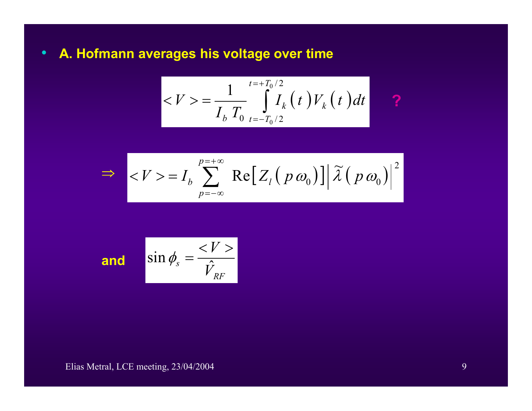•**A. Hofmann averages his voltage over time**

$$
\left| \langle V \rangle = \frac{1}{I_b T_0} \int_{t=-T_0/2}^{t=+T_0/2} I_k(t) V_k(t) dt \right| \qquad \text{?}
$$

$$
\Rightarrow \left| =I_b \sum_{p=-\infty}^{p=+\infty} \text{Re}\big[Z_1(p \omega_0)\big] \big| \widetilde{\lambda}(p \omega_0)\big|^2
$$

and 
$$
\sin \phi_s = \frac{}{\hat{V}_{RF}}
$$